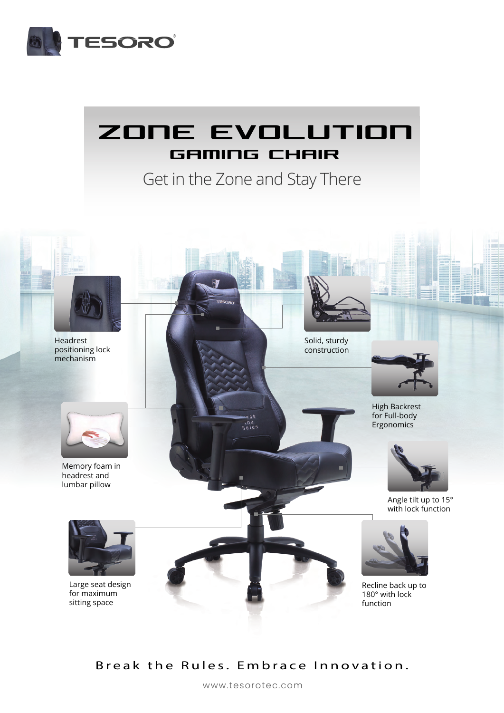

# **ZONE EVOLUTION GAMING CHAIR**

Get in the Zone and Stay There



### Break the Rules. Embrace Innovation.